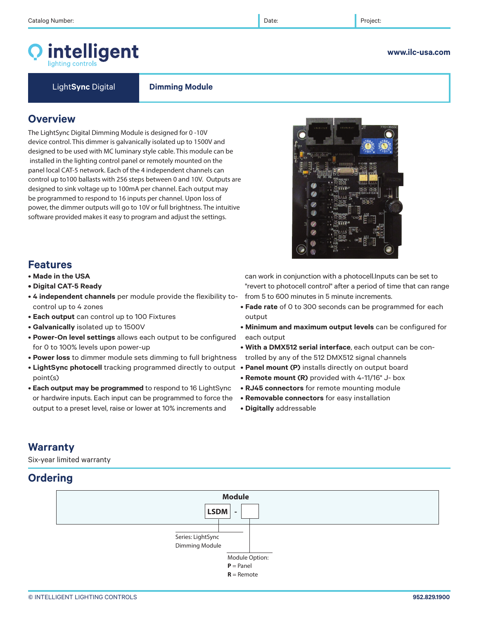# intelligent

**www.ilc-usa.com** 

Light**Sync** Digital **Dimming Module**

### **Overview**

The LightSync Digital Dimming Module is designed for 0 -10V device control. This dimmer is galvanically isolated up to 1500V and designed to be used with MC luminary style cable. This module can be installed in the lighting control panel or remotely mounted on the panel local CAT-5 network. Each of the 4 independent channels can control up to100 ballasts with 256 steps between 0 and 10V. Outputs are designed to sink voltage up to 100mA per channel. Each output may be programmed to respond to 16 inputs per channel. Upon loss of power, the dimmer outputs will go to 10V or full brightness. The intuitive software provided makes it easy to program and adjust the settings.



### **Features**

- **Made in the USA**
- **Digital CAT-5 Ready**
- **4 independent channels** per module provide the flexibility tocontrol up to 4 zones
- **Each output** can control up to 100 Fixtures
- **Galvanically** isolated up to 1500V
- **Power-On level settings** allows each output to be configured for 0 to 100% levels upon power-up
- **Power loss** to dimmer module sets dimming to full brightness
- **LightSync photocell** tracking programmed directly to output **Panel mount (P)** installs directly on output board point(s)
- **Each output may be programmed** to respond to 16 LightSync or hardwire inputs. Each input can be programmed to force the output to a preset level, raise or lower at 10% increments and

can work in conjunction with a photocell.Inputs can be set to "revert to photocell control" after a period of time that can range from 5 to 600 minutes in 5 minute increments.

- **Fade rate** of 0 to 300 seconds can be programmed for each output
- **Minimum and maximum output levels** can be configured for each output
- **With a DMX512 serial interface**, each output can be controlled by any of the 512 DMX512 signal channels
- 
- **Remote mount (R)** provided with 4-11/16" J- box
- **RJ45 connectors** for remote mounting module
- **Removable connectors** for easy installation
- **Digitally** addressable

### **Warranty**

Six-year limited warranty

### **Ordering**